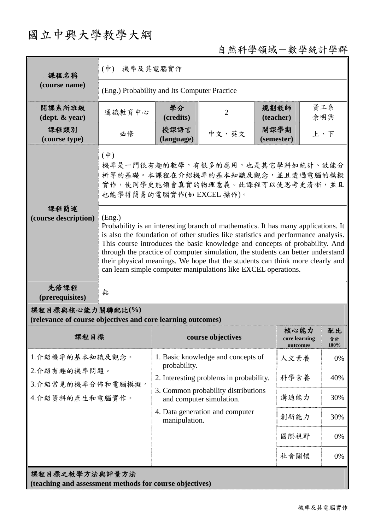## 國立中興大學教學大綱

## 自然科學領域-數學統計學群

| 課程名稱                                                                            | $(\phi)$<br>機率及其電腦實作                                                                                                                                                                                                                                                                                                                                                                                                                                                                                  |                                                                         |                                    |                                   |                  |    |
|---------------------------------------------------------------------------------|-------------------------------------------------------------------------------------------------------------------------------------------------------------------------------------------------------------------------------------------------------------------------------------------------------------------------------------------------------------------------------------------------------------------------------------------------------------------------------------------------------|-------------------------------------------------------------------------|------------------------------------|-----------------------------------|------------------|----|
| (course name)                                                                   | (Eng.) Probability and Its Computer Practice                                                                                                                                                                                                                                                                                                                                                                                                                                                          |                                                                         |                                    |                                   |                  |    |
| 開課系所班級<br>$(\text{dept.} \& \text{ year})$                                      | 通識教育中心                                                                                                                                                                                                                                                                                                                                                                                                                                                                                                | 學分<br>(credits)                                                         | $\overline{2}$                     | 規劃教師<br>(teacher)                 | 資工系<br>余明興       |    |
| 課程類別<br>(course type)                                                           | 必修                                                                                                                                                                                                                                                                                                                                                                                                                                                                                                    | 授課語言<br>(language)                                                      | 中文、英文                              | 開課學期<br>(semester)                | 上、下              |    |
|                                                                                 | 機率是一門很有趣的數學,有很多的應用,也是其它學科如統計、效能分<br>析等的基礎。本課程在介紹機率的基本知識及觀念,並且透過電腦的模擬<br>實作,使同學更能領會真實的物理意義。此課程可以使思考更清晰,並且                                                                                                                                                                                                                                                                                                                                                                                              |                                                                         |                                    |                                   |                  |    |
| 課程簡述<br>(course description)                                                    | (Eng.)<br>Probability is an interesting branch of mathematics. It has many applications. It<br>is also the foundation of other studies like statistics and performance analysis.<br>This course introduces the basic knowledge and concepts of probability. And<br>through the practice of computer simulation, the students can better understand<br>their physical meanings. We hope that the students can think more clearly and<br>can learn simple computer manipulations like EXCEL operations. |                                                                         |                                    |                                   |                  |    |
| 先修課程<br>(prerequisites)                                                         | 無                                                                                                                                                                                                                                                                                                                                                                                                                                                                                                     |                                                                         |                                    |                                   |                  |    |
| 課程目標與核心能力關聯配比(%)<br>(relevance of course objectives and core learning outcomes) |                                                                                                                                                                                                                                                                                                                                                                                                                                                                                                       |                                                                         |                                    |                                   |                  |    |
| 課程目標                                                                            |                                                                                                                                                                                                                                                                                                                                                                                                                                                                                                       |                                                                         | course objectives                  | 核心能力<br>core learning<br>outcomes | 配比<br>合計<br>100% |    |
| 1.介紹機率的基本知識及觀念。<br>2.介紹有趣的機率問題。<br>3.介紹常見的機率分佈和電腦模擬。<br>4.介紹資料的產生和電腦實作。         |                                                                                                                                                                                                                                                                                                                                                                                                                                                                                                       | probability.                                                            | 1. Basic knowledge and concepts of | 人文素養                              |                  | 0% |
|                                                                                 |                                                                                                                                                                                                                                                                                                                                                                                                                                                                                                       | 2. Interesting problems in probability.                                 | 科學素養                               | 40%                               |                  |    |
|                                                                                 |                                                                                                                                                                                                                                                                                                                                                                                                                                                                                                       | 3. Common probability distributions<br>溝通能力<br>and computer simulation. |                                    |                                   | 30%              |    |
|                                                                                 |                                                                                                                                                                                                                                                                                                                                                                                                                                                                                                       | 4. Data generation and computer<br>manipulation.                        |                                    | 創新能力                              | 30%              |    |
|                                                                                 |                                                                                                                                                                                                                                                                                                                                                                                                                                                                                                       |                                                                         |                                    | 國際視野                              |                  | 0% |
|                                                                                 |                                                                                                                                                                                                                                                                                                                                                                                                                                                                                                       |                                                                         |                                    | 社會關懷                              |                  | 0% |
| 課程目標之教學方法與評量方法<br>(teaching and assessment methods for course objectives)       |                                                                                                                                                                                                                                                                                                                                                                                                                                                                                                       |                                                                         |                                    |                                   |                  |    |